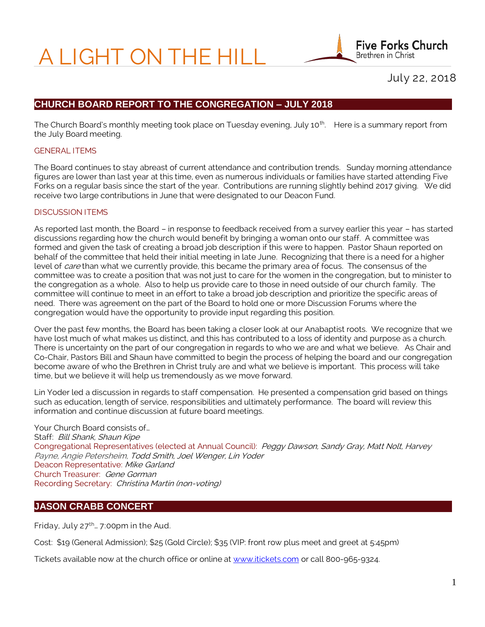# A LIGHT ON THE HILL

**Five Forks Church** Brethren in Christ

July 22, 2018

# **CHURCH BOARD REPORT TO THE CONGREGATION – JULY 2018**

The Church Board's monthly meeting took place on Tuesday evening, July 10<sup>th</sup>. Here is a summary report from the July Board meeting.

#### GENERAL ITEMS

The Board continues to stay abreast of current attendance and contribution trends. Sunday morning attendance figures are lower than last year at this time, even as numerous individuals or families have started attending Five Forks on a regular basis since the start of the year. Contributions are running slightly behind 2017 giving. We did receive two large contributions in June that were designated to our Deacon Fund.

#### DISCUSSION ITEMS

As reported last month, the Board – in response to feedback received from a survey earlier this year – has started discussions regarding how the church would benefit by bringing a woman onto our staff. A committee was formed and given the task of creating a broad job description if this were to happen. Pastor Shaun reported on behalf of the committee that held their initial meeting in late June. Recognizing that there is a need for a higher level of care than what we currently provide, this became the primary area of focus. The consensus of the committee was to create a position that was not just to care for the women in the congregation, but to minister to the congregation as a whole. Also to help us provide care to those in need outside of our church family. The committee will continue to meet in an effort to take a broad job description and prioritize the specific areas of need. There was agreement on the part of the Board to hold one or more Discussion Forums where the congregation would have the opportunity to provide input regarding this position.

Over the past few months, the Board has been taking a closer look at our Anabaptist roots. We recognize that we have lost much of what makes us distinct, and this has contributed to a loss of identity and purpose as a church. There is uncertainty on the part of our congregation in regards to who we are and what we believe. As Chair and Co-Chair, Pastors Bill and Shaun have committed to begin the process of helping the board and our congregation become aware of who the Brethren in Christ truly are and what we believe is important. This process will take time, but we believe it will help us tremendously as we move forward.

Lin Yoder led a discussion in regards to staff compensation. He presented a compensation grid based on things such as education, length of service, responsibilities and ultimately performance. The board will review this information and continue discussion at future board meetings.

Your Church Board consists of… Staff: Bill Shank, Shaun Kipe Congregational Representatives (elected at Annual Council): Peggy Dawson, Sandy Gray, Matt Nolt, Harvey Payne, Angie Petersheim, Todd Smith, Joel Wenger, Lin Yoder Deacon Representative: Mike Garland Church Treasurer: Gene Gorman Recording Secretary: Christina Martin (non-voting)

# **JASON CRABB CONCERT**

Friday, July  $27^{th}$ ... 7:00pm in the Aud.

Cost: \$19 (General Admission); \$25 (Gold Circle); \$35 (VIP: front row plus meet and greet at 5:45pm)

Tickets available now at the church office or online at [www.itickets.com](http://www.itickets.com/) or call 800-965-9324.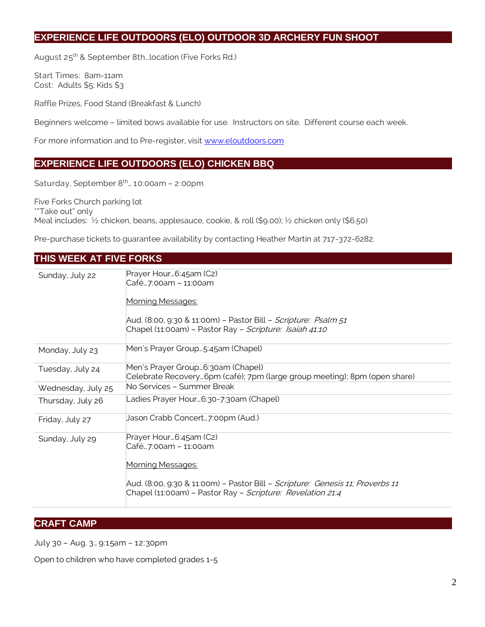# **EXPERIENCE LIFE OUTDOORS (ELO) OUTDOOR 3D ARCHERY FUN SHOOT**

August 25<sup>th</sup> & September 8th... location (Five Forks Rd.)

Start Times: 8am-11am Cost: Adults \$5; Kids \$3

Raffle Prizes, Food Stand (Breakfast & Lunch)

Beginners welcome – limited bows available for use. Instructors on site. Different course each week.

For more information and to Pre-register, visit [www.eloutdoors.com](http://www.eloutdoors.com/)

#### **EXPERIENCE LIFE OUTDOORS (ELO) CHICKEN BBQ**

Saturday, September 8<sup>th</sup>... 10:00am - 2:00pm

Five Forks Church parking lot \*"Take out" only Meal includes: ½ chicken, beans, applesauce, cookie, & roll (\$9.00); ½ chicken only (\$6.50)

Pre-purchase tickets to guarantee availability by contacting Heather Martin at 717-372-6282.

| THIS WEEK AT FIVE FORKS |                                                                                                                                                                                                                     |
|-------------------------|---------------------------------------------------------------------------------------------------------------------------------------------------------------------------------------------------------------------|
| Sunday, July 22         | Prayer Hour 6:45am (C2)<br>Café7:00am - 11:00am<br>Morning Messages:<br>Aud. (8:00, 9:30 & 11:00m) - Pastor Bill - Scripture: Psalm 51<br>Chapel (11:00am) - Pastor Ray - Scripture: Isaiah 41:10                   |
| Monday, July 23         | Men's Prayer Group5:45am (Chapel)                                                                                                                                                                                   |
| Tuesday, July 24        | Men's Prayer Group 6:30am (Chapel)<br>Celebrate Recovery6pm (café); 7pm (large group meeting); 8pm (open share)                                                                                                     |
| Wednesday, July 25      | No Services - Summer Break                                                                                                                                                                                          |
| Thursday, July 26       | Ladies Prayer Hour6:30-7:30am (Chapel)                                                                                                                                                                              |
| Friday, July 27         | Jason Crabb Concert…7:00pm (Aud.)                                                                                                                                                                                   |
| Sunday, July 29         | Prayer Hour 6:45am (C2)<br>Café7:00am - 11:00am<br>Morning Messages:<br>Aud. (8:00, 9:30 & 11:00m) - Pastor Bill - Scripture: Genesis 11; Proverbs 11<br>Chapel (11:00am) - Pastor Ray - Scripture: Revelation 21:4 |

## **CRAFT CAMP**

July 30 – Aug. 3… 9:15am – 12:30pm

Open to children who have completed grades 1-5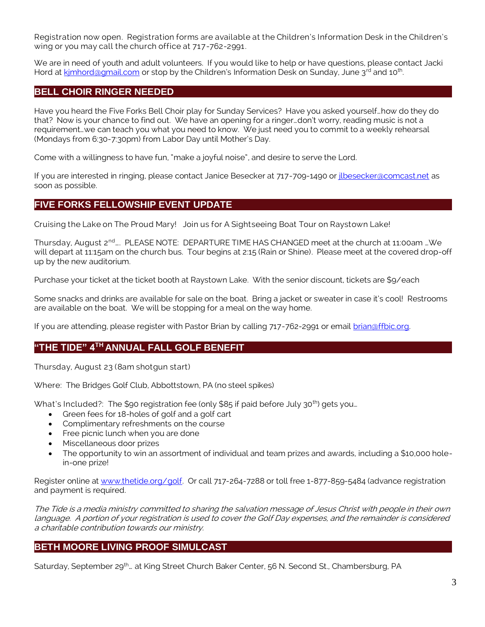Registration now open. Registration forms are available at the Children's Information Desk in the Children's wing or you may call the church office at 717-762-2991.

We are in need of youth and adult volunteers. If you would like to help or have questions, please contact Jacki Hord at kimhord@gmail.com or stop by the Children's Information Desk on Sunday, June 3<sup>rd</sup> and 10<sup>th</sup>. .

#### **BELL CHOIR RINGER NEEDED**

Have you heard the Five Forks Bell Choir play for Sunday Services? Have you asked yourself…how do they do that? Now is your chance to find out. We have an opening for a ringer…don't worry, reading music is not a requirement…we can teach you what you need to know. We just need you to commit to a weekly rehearsal (Mondays from 6:30-7:30pm) from Labor Day until Mother's Day.

Come with a willingness to have fun, "make a joyful noise", and desire to serve the Lord.

If you are interested in ringing, please contact Janice Besecker at 717-709-1490 o[r jlbesecker@comcast.net](mailto:jlbesecker@comcast.net) as soon as possible.

#### **FIVE FORKS FELLOWSHIP EVENT UPDATE**

Cruising the Lake on The Proud Mary! Join us for A Sightseeing Boat Tour on Raystown Lake!

Thursday, August 2<sup>nd</sup>…. PLEASE NOTE: DEPARTURE TIME HAS CHANGED meet at the church at 11:00am …We will depart at 11:15am on the church bus. Tour begins at 2:15 (Rain or Shine). Please meet at the covered drop-off up by the new auditorium.

Purchase your ticket at the ticket booth at Raystown Lake. With the senior discount, tickets are \$9/each

Some snacks and drinks are available for sale on the boat. Bring a jacket or sweater in case it's cool! Restrooms are available on the boat. We will be stopping for a meal on the way home.

If you are attending, please register with Pastor Brian by calling 717-762-2991 or email [brian@ffbic.org.](mailto:brian@ffbic.org)

## **"THE TIDE" 4TH ANNUAL FALL GOLF BENEFIT**

Thursday, August 23 (8am shotgun start)

Where: The Bridges Golf Club, Abbottstown, PA (no steel spikes)

What's Included?: The \$90 registration fee (only \$85 if paid before July  $30<sup>th</sup>$ ) gets you...

- Green fees for 18-holes of golf and a golf cart
- Complimentary refreshments on the course
- Free picnic lunch when you are done
- Miscellaneous door prizes
- The opportunity to win an assortment of individual and team prizes and awards, including a \$10,000 holein-one prize!

Register online at [www.thetide.org/golf.](http://www.thetide.org/golf) Or call 717-264-7288 or toll free 1-877-859-5484 (advance registration and payment is required.

The Tide is a media ministry committed to sharing the salvation message of Jesus Christ with people in their own language. A portion of your registration is used to cover the Golf Day expenses, and the remainder is considered a charitable contribution towards our ministry.

## **BETH MOORE LIVING PROOF SIMULCAST**

Saturday, September 29<sup>th</sup>... at King Street Church Baker Center, 56 N. Second St., Chambersburg, PA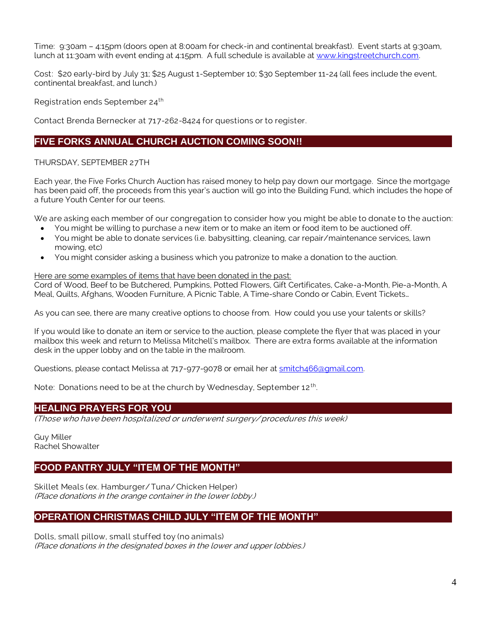Time: 9:30am – 4:15pm (doors open at 8:00am for check-in and continental breakfast). Event starts at 9:30am, lunch at 11:30am with event ending at 4:15pm. A full schedule is available at [www.kingstreetchurch.com.](http://www.kingstreetchurch.com/)

Cost: \$20 early-bird by July 31; \$25 August 1-September 10; \$30 September 11-24 (all fees include the event, continental breakfast, and lunch.)

Registration ends September 24<sup>th</sup>

Contact Brenda Bernecker at 717-262-8424 for questions or to register.

## **FIVE FORKS ANNUAL CHURCH AUCTION COMING SOON!!**

#### THURSDAY, SEPTEMBER 27TH

Each year, the Five Forks Church Auction has raised money to help pay down our mortgage. Since the mortgage has been paid off, the proceeds from this year's auction will go into the Building Fund, which includes the hope of a future Youth Center for our teens.

We are asking each member of our congregation to consider how you might be able to donate to the auction:

- You might be willing to purchase a new item or to make an item or food item to be auctioned off.
- You might be able to donate services (i.e. babysitting, cleaning, car repair/maintenance services, lawn mowing, etc)
- You might consider asking a business which you patronize to make a donation to the auction.

#### Here are some examples of items that have been donated in the past:

Cord of Wood, Beef to be Butchered, Pumpkins, Potted Flowers, Gift Certificates, Cake-a-Month, Pie-a-Month, A Meal, Quilts, Afghans, Wooden Furniture, A Picnic Table, A Time-share Condo or Cabin, Event Tickets…

As you can see, there are many creative options to choose from. How could you use your talents or skills?

If you would like to donate an item or service to the auction, please complete the flyer that was placed in your mailbox this week and return to Melissa Mitchell's mailbox. There are extra forms available at the information desk in the upper lobby and on the table in the mailroom.

Questions, please contact Melissa at 717-977-9078 or email her at [smitch466@gmail.com.](mailto:smitch466@gmail.com)

Note: Donations need to be at the church by Wednesday, September 12<sup>th</sup>. .

#### **HEALING PRAYERS FOR YOU**

(Those who have been hospitalized or underwent surgery/ procedures this week)

Guy Miller Rachel Showalter

## **FOOD PANTRY JULY "ITEM OF THE MONTH"**

Skillet Meals (ex. Hamburger/ Tuna/ Chicken Helper) (Place donations in the orange container in the lower lobby.)

## **OPERATION CHRISTMAS CHILD JULY "ITEM OF THE MONTH"**

Dolls, small pillow, small stuffed toy (no animals) (Place donations in the designated boxes in the lower and upper lobbies.)